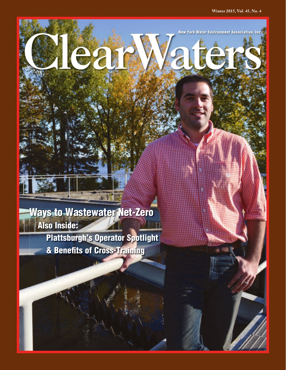New York Water Environment Association, Inc.

Ways to Wastewater Net-Zero Also Inside:

> Plattsburgh's Operator Spotlight & Benefits of Cross-Training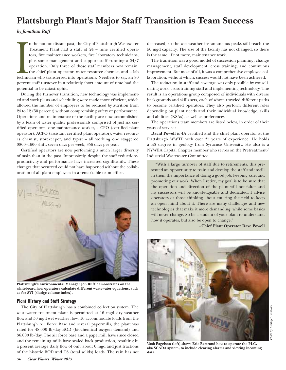# **Plattsburgh Plant's Major Staff Transition is Team Success**

*by Jonathan Ruff*

**International Property** n the not too distant past, the City of Plattsburgh Wastewater Treatment Plant had a staff of 24 – nine certified operators, five maintenance workers, five laboratory technicians, plus some management and support staff running a 24/7 operation. Only three of those staff members now remain: the chief plant operator, water resource chemist, and a lab technician who transferred into operations. Needless to say, an 80 percent staff turnover in a relatively short amount of time had the potential to be catastrophic.

During the turnover transition, new technology was implemented and work plans and scheduling were made more efficient, which allowed the number of employees to be reduced by attrition from 24 to 12 (50 percent) without compromising safety or performance. Operations and maintenance of the facility are now accomplished by a team of water quality professionals comprised of just six certified operators, one maintenance worker, a CPO (certified plant operator), ACPO (assistant certified plant operator), water resources chemist, storekeeper, and typist – all working one staggered 0800–1600 shift, seven days per week, 356 days per year.

Certified operators are now performing a much larger diversity of tasks than in the past. Impressively, despite the staff reductions, productivity and performance have increased significantly. These changes that occurred could not have happened without the collaboration of all plant employees in a remarkable team effort.



**Plattsburgh's Environmental Manager Jon Ruff demonstrates on the whiteboard how operators calculate different wastewater equations, such as for SVI (sludge volume index).**

### **Plant History and Staff Strategy**

The City of Plattsburgh has a combined collection system. The wastewater treatment plant is permitted at 16 mgd dry weather flow and 50 mgd wet weather flow. To accommodate loads from the Plattsburgh Air Force Base and several papermills, the plant was rated for 48,000 lb/day BOD (biochemical oxygen demand) and 36,000 lb/day. The air force base and a papermill have since closed and the remaining mills have scaled back production, resulting in a present average daily flow of only about 6 mgd and just fractions of the historic BOD and TS (total solids) loads. The rain has not

decreased, so the wet weather instantaneous peaks still reach the 50 mgd capacity. The size of the facility has not changed, so there is the same, if not more, maintenance work.

The transition was a good model of succession planning, change management, staff development, cross training, and continuous improvement. But most of all, it was a comprehensive employee collaboration, without which, success would not have been achieved.

The reduction in staff and coverage was only possible by consolidating work, cross training staff and implementing technology. The result is an operations group composed of individuals with diverse backgrounds and skills sets, each of whom traveled different paths to become certified operators. They also perform different roles depending on plant needs and their individual knowledge, skills and abilities (KSAs), as well as preferences.

The operations team members are listed below, in order of their years of service:

**David Powell** is 4A certified and the chief plant operator at the Plattsburgh WWTP with over 35 years of experience. He holds a BS degree in geology from Syracuse University. He also is a NYWEA Capital Chapter member who serves on the Pretreatment/ Industrial Wastewater Committee.

"With a large turnover of staff due to retirements, this presented an opportunity to train and develop the staff and instill in them the importance of doing a good job, keeping safe, and promoting our work. When I retire, my goal is to be sure that the operation and direction of the plant will not falter and my successors will be knowledgeable and dedicated. I advise operators or those thinking about entering the field to keep an open mind about it. There are many challenges and new technologies that make it more demanding, while some basics will never change. So be a student of your plant to understand how it operates, but also be open to change."

–**Chief Plant Operator Dave Powell**



hoto by Kristofer Gushlaw *Photo by Kristofer Gushlaw*

**Vash Eagelson (left) shows Eric Bertrand how to operate the PLC, aka SCADA system, to include clearing alarms and viewing incoming data.**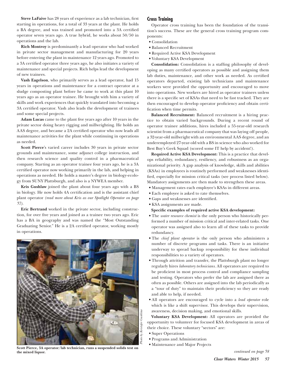**Steve LaFaive** has 28 years of experience as a lab technician, first starting in operations, for a total of 33 years at the plant. He holds a BA degree, and was trained and promoted into a 3A certified operator seven years ago. A true hybrid, he works about 50/50 in operations and the lab.

**Rich Montroy** is predominantly a lead operator who had worked in private sector management and manufacturing for 20 years before entering the plant in maintenance 12 years ago. Promoted to a 3A certified operator three years ago, he also initiates a variety of maintenance and special projects. Rich helps lead the development of new trainees.

**Vash Eagelson**, who primarily serves as a lead operator, had 15 years in operations and maintenance for a contract operator at a sludge composting plant before he came to work at this plant 10 years ago as an operator trainee. He brought with him a variety of skills and work experiences that quickly translated into becoming a 3A certified operator. Vash also leads the development of trainees and some special projects.

**Adam Lucas** came to the plant five years ago after 10 years in the private sector doing heavy rigging and millwrighting. He holds an AAS degree, and became a 2A certified operator who now leads all maintenance activities for the plant while continuing in operations as needed.

**Scott Pierce**'s varied career includes 30 years in private sector grounds and maintenance, some adjunct college instruction, and then research science and quality control in a pharmaceutical company. Starting as an operator trainee four years ago, he is a 3A certified operator now working primarily in the lab, and helping in operations as needed. He holds a master's degree in biology-ecology from SUNY Plattsburgh, and also is a NYWEA member.

**Kris Gushlaw** joined the plant about four years ago with a BS in biology. He now holds 4A certification and is the assistant chief plant operator *(read more about Kris as our Spotlight Operator on page 57)*.

**Eric Bertrand** worked in the private sector, including construction, for over five years and joined as a trainee two years ago. Eric has a BA in geography and was named the "Most Outstanding Graduating Senior." He is a 2A certified operator, working mostly in operations.



**The Scott Pierce, 3A operator/lab technician, runs a suspended solids test on Maintenance and Major Projects the mixed liquor.** 

### **Cross Training**

Operator cross training has been the foundation of the transition's success. These are the general cross training program components:

- Consolidation
- Balanced Recruitment
- Required Active KSA Development
- Y Voluntary KSA Development

**Consolidation:** Consolidation is a staffing philosophy of developing as many certified operators as possible and assigning them lab duties, maintenance, and other work as needed. As certified operators departed, existing lab technicians and maintenance workers were provided the opportunity and encouraged to move into operations. New workers are hired as operator trainees unless there is a specific set of KSAs that need to be fast tracked. They are then encouraged to develop operator proficiency and obtain certification when time permits.

**Balanced Recruitment:** Balanced recruitment is a hiring practice to obtain varied backgrounds. During a recent round of operator trainee additions, hires included a 55-year-old research scientist from a pharmaceutical company that was laying off people, a 32-year-old millwright with an environmental AAS degree, and an underemployed 27-year-old with a BS in science who also worked for Best Buy's Geek Squad (scored some IT help by accident!).

**Required Active KSA Development:** This is a practice that develops reliability, redundancy, resiliency, and robustness as an organizational priority. A gap analysis of knowledge, skills and abilities (KSAs) in employees is routinely performed and weaknesses identified, especially for mission critical tasks (see process listed below). Mandatory assignments are then made to strengthen these areas.

- $\bullet$  Management rates each employee's KSAs in different areas.
- Each employee is asked to rate themselves.
- Y Gaps and weaknesses are identified.
- KSA assignments are made.
- **Specific examples of required active KSA development:**
- The *water resource chemist* is the only person who historically performed a number of mission critical and inter-related tasks. One operator was assigned also to learn all of these tasks to provide redundancy.
- The *chief plant operator* is the only person who administers a number of discrete programs and tasks. There is an initiative underway to spread backup responsibility for these individual responsibilities to a variety of operators.
- Through attrition and transfer, the Plattsburgh plant no longer regularly hires *laboratory technicians*. All operators are required to be proficient in most process control and compliance sampling and testing. Operators who prefer the lab are assigned there as often as possible. Others are assigned into the lab periodically as a "tour of duty" to maintain their proficiency so they are ready and able to help, if needed.
- $\bullet$  All operators are encouraged to cycle into a *lead operator* role which is like a shift supervisor. This develops their supervision, awareness, decision making, and emotional skills.

**Voluntary KSA Development:** All operators are provided the opportunity to volunteer for focused KSA development in areas of their choice. These voluntary "sectors" are:

- Super Operations
- Y Programs and Administration
-